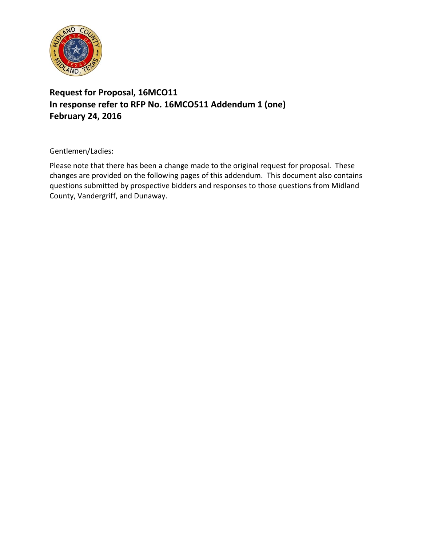

## **Request for Proposal, 16MCO11 In response refer to RFP No. 16MCO511 Addendum 1 (one) February 24, 2016**

Gentlemen/Ladies:

Please note that there has been a change made to the original request for proposal. These changes are provided on the following pages of this addendum. This document also contains questions submitted by prospective bidders and responses to those questions from Midland County, Vandergriff, and Dunaway.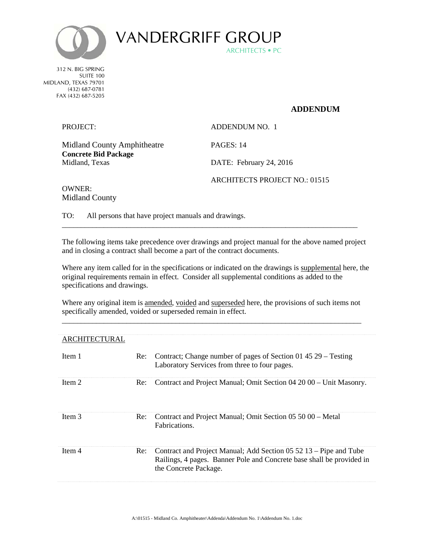

ARCHITECTS • PC VANDERGRIFF GROUP

312 N. BIG SPRING SUITE 100 MIDLAND, TEXAS 79701 (432) 687-0781 FAX (432) 687-5205

## **ADDENDUM**

PROJECT: ADDENDUM NO. 1

Midland County Amphitheatre PAGES: 14 **Concrete Bid Package** Midland, Texas DATE: February 24, 2016

ARCHITECTS PROJECT NO.: 01515

OWNER: Midland County

TO: All persons that have project manuals and drawings.

The following items take precedence over drawings and project manual for the above named project and in closing a contract shall become a part of the contract documents.

\_\_\_\_\_\_\_\_\_\_\_\_\_\_\_\_\_\_\_\_\_\_\_\_\_\_\_\_\_\_\_\_\_\_\_\_\_\_\_\_\_\_\_\_\_\_\_\_\_\_\_\_\_\_\_\_\_\_\_\_\_\_\_\_\_\_\_\_\_\_\_\_\_\_\_\_\_\_

Where any item called for in the specifications or indicated on the drawings is supplemental here, the original requirements remain in effect. Consider all supplemental conditions as added to the specifications and drawings.

Where any original item is amended, voided and superseded here, the provisions of such items not specifically amended, voided or superseded remain in effect. \_\_\_\_\_\_\_\_\_\_\_\_\_\_\_\_\_\_\_\_\_\_\_\_\_\_\_\_\_\_\_\_\_\_\_\_\_\_\_\_\_\_\_\_\_\_\_\_\_\_\_\_\_\_\_\_\_\_\_\_\_\_\_\_\_\_\_\_\_\_\_\_\_\_\_\_\_\_\_

| ARCHITECTURAL |     |                                                                                                                                                                     |
|---------------|-----|---------------------------------------------------------------------------------------------------------------------------------------------------------------------|
| Item 1        | Re: | Contract; Change number of pages of Section 01 45 29 – Testing<br>Laboratory Services from three to four pages.                                                     |
| Item 2        | Re: | Contract and Project Manual; Omit Section 04 20 00 – Unit Masonry.                                                                                                  |
| Item 3        | Re: | Contract and Project Manual; Omit Section 05 50 00 – Metal<br>Fabrications.                                                                                         |
| Item 4        | Re: | Contract and Project Manual; Add Section 05 52 13 – Pipe and Tube<br>Railings, 4 pages. Banner Pole and Concrete base shall be provided in<br>the Concrete Package. |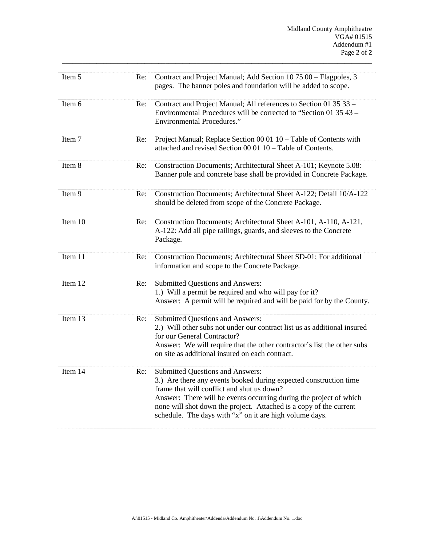| Item 5  | Re: | Contract and Project Manual; Add Section 10 75 00 - Flagpoles, 3<br>pages. The banner poles and foundation will be added to scope.                                                                                                                                                                                                                         |
|---------|-----|------------------------------------------------------------------------------------------------------------------------------------------------------------------------------------------------------------------------------------------------------------------------------------------------------------------------------------------------------------|
| Item 6  | Re: | Contract and Project Manual; All references to Section 01 35 33 -<br>Environmental Procedures will be corrected to "Section 01 35 43 –<br><b>Environmental Procedures."</b>                                                                                                                                                                                |
| Item 7  | Re: | Project Manual; Replace Section 00 01 10 - Table of Contents with<br>attached and revised Section 00 01 10 - Table of Contents.                                                                                                                                                                                                                            |
| Item 8  | Re: | Construction Documents; Architectural Sheet A-101; Keynote 5.08:<br>Banner pole and concrete base shall be provided in Concrete Package.                                                                                                                                                                                                                   |
| Item 9  | Re: | Construction Documents; Architectural Sheet A-122; Detail 10/A-122<br>should be deleted from scope of the Concrete Package.                                                                                                                                                                                                                                |
| Item 10 | Re: | Construction Documents; Architectural Sheet A-101, A-110, A-121,<br>A-122: Add all pipe railings, guards, and sleeves to the Concrete<br>Package.                                                                                                                                                                                                          |
| Item 11 | Re: | Construction Documents; Architectural Sheet SD-01; For additional<br>information and scope to the Concrete Package.                                                                                                                                                                                                                                        |
| Item 12 | Re: | <b>Submitted Questions and Answers:</b><br>1.) Will a permit be required and who will pay for it?<br>Answer: A permit will be required and will be paid for by the County.                                                                                                                                                                                 |
| Item 13 | Re: | Submitted Questions and Answers:<br>2.) Will other subs not under our contract list us as additional insured<br>for our General Contractor?<br>Answer: We will require that the other contractor's list the other subs<br>on site as additional insured on each contract.                                                                                  |
| Item 14 | Re: | Submitted Questions and Answers:<br>3.) Are there any events booked during expected construction time<br>frame that will conflict and shut us down?<br>Answer: There will be events occurring during the project of which<br>none will shot down the project. Attached is a copy of the current<br>schedule. The days with "x" on it are high volume days. |

**\_\_\_\_\_\_\_\_\_\_\_\_\_\_\_\_\_\_\_\_\_\_\_\_\_\_\_\_\_\_\_\_\_\_\_\_\_\_\_\_\_\_\_\_\_\_\_\_\_\_\_\_\_\_\_\_\_\_\_\_\_\_\_\_\_\_\_\_\_\_\_\_\_\_\_\_\_\_\_\_\_\_\_\_\_\_\_\_\_\_**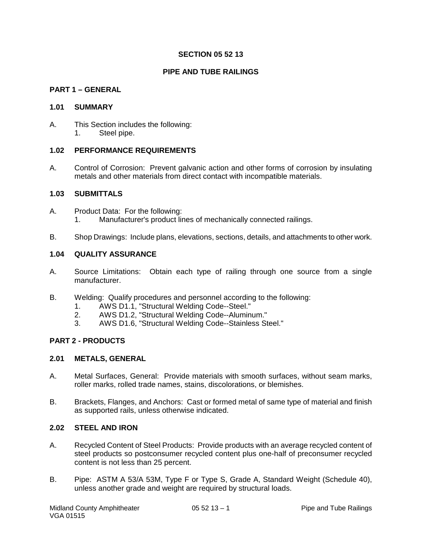## **SECTION 05 52 13**

## **PIPE AND TUBE RAILINGS**

### **PART 1 – GENERAL**

#### **1.01 SUMMARY**

A. This Section includes the following: 1. Steel pipe.

#### **1.02 PERFORMANCE REQUIREMENTS**

A. Control of Corrosion: Prevent galvanic action and other forms of corrosion by insulating metals and other materials from direct contact with incompatible materials.

## **1.03 SUBMITTALS**

- A. Product Data: For the following: 1. Manufacturer's product lines of mechanically connected railings.
- B. Shop Drawings: Include plans, elevations, sections, details, and attachments to other work.

## **1.04 QUALITY ASSURANCE**

- A. Source Limitations: Obtain each type of railing through one source from a single manufacturer.
- B. Welding: Qualify procedures and personnel according to the following:
	- 1. AWS D1.1, "Structural Welding Code--Steel."<br>2. AWS D1.2. "Structural Welding Code--Alumin
		- 2. AWS D1.2, "Structural Welding Code--Aluminum."
	- 3. AWS D1.6, "Structural Welding Code--Stainless Steel."

#### **PART 2 - PRODUCTS**

#### **2.01 METALS, GENERAL**

- A. Metal Surfaces, General: Provide materials with smooth surfaces, without seam marks, roller marks, rolled trade names, stains, discolorations, or blemishes.
- B. Brackets, Flanges, and Anchors: Cast or formed metal of same type of material and finish as supported rails, unless otherwise indicated.

#### **2.02 STEEL AND IRON**

- A. Recycled Content of Steel Products: Provide products with an average recycled content of steel products so postconsumer recycled content plus one-half of preconsumer recycled content is not less than 25 percent.
- B. Pipe: ASTM A 53/A 53M, Type F or Type S, Grade A, Standard Weight (Schedule 40), unless another grade and weight are required by structural loads.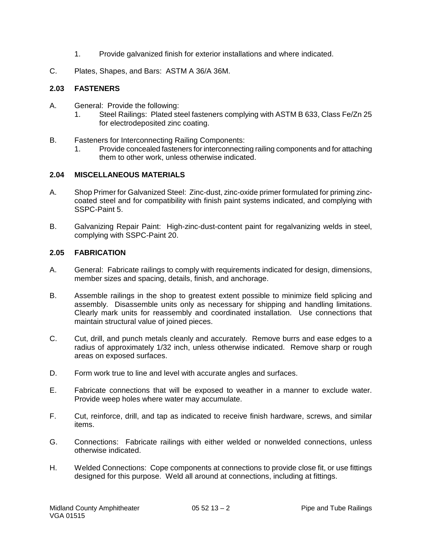- 1. Provide galvanized finish for exterior installations and where indicated.
- C. Plates, Shapes, and Bars: ASTM A 36/A 36M.

## **2.03 FASTENERS**

- A. General: Provide the following:
	- 1. Steel Railings: Plated steel fasteners complying with ASTM B 633, Class Fe/Zn 25 for electrodeposited zinc coating.
- B. Fasteners for Interconnecting Railing Components:
	- 1. Provide concealed fasteners for interconnecting railing components and for attaching them to other work, unless otherwise indicated.

## **2.04 MISCELLANEOUS MATERIALS**

- A. Shop Primer for Galvanized Steel: Zinc-dust, zinc-oxide primer formulated for priming zinccoated steel and for compatibility with finish paint systems indicated, and complying with SSPC-Paint 5.
- B. Galvanizing Repair Paint: High-zinc-dust-content paint for regalvanizing welds in steel, complying with SSPC-Paint 20.

## **2.05 FABRICATION**

- A. General: Fabricate railings to comply with requirements indicated for design, dimensions, member sizes and spacing, details, finish, and anchorage.
- B. Assemble railings in the shop to greatest extent possible to minimize field splicing and assembly. Disassemble units only as necessary for shipping and handling limitations. Clearly mark units for reassembly and coordinated installation. Use connections that maintain structural value of joined pieces.
- C. Cut, drill, and punch metals cleanly and accurately. Remove burrs and ease edges to a radius of approximately 1/32 inch, unless otherwise indicated. Remove sharp or rough areas on exposed surfaces.
- D. Form work true to line and level with accurate angles and surfaces.
- E. Fabricate connections that will be exposed to weather in a manner to exclude water. Provide weep holes where water may accumulate.
- F. Cut, reinforce, drill, and tap as indicated to receive finish hardware, screws, and similar items.
- G. Connections: Fabricate railings with either welded or nonwelded connections, unless otherwise indicated.
- H. Welded Connections: Cope components at connections to provide close fit, or use fittings designed for this purpose. Weld all around at connections, including at fittings.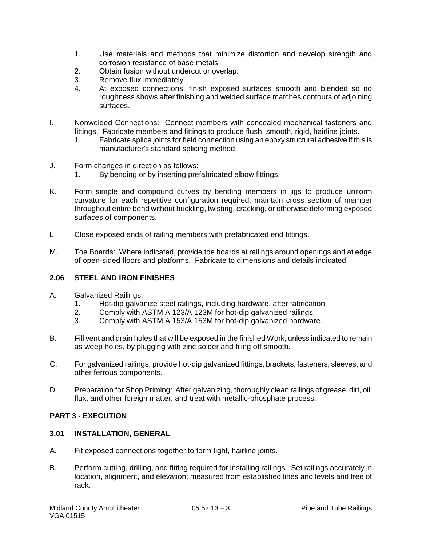- 1. Use materials and methods that minimize distortion and develop strength and corrosion resistance of base metals.
- 2. Obtain fusion without undercut or overlap.<br>3. Remove flux immediately.
- Remove flux immediately.
- 4. At exposed connections, finish exposed surfaces smooth and blended so no roughness shows after finishing and welded surface matches contours of adjoining surfaces.
- I. Nonwelded Connections: Connect members with concealed mechanical fasteners and fittings. Fabricate members and fittings to produce flush, smooth, rigid, hairline joints.
	- 1. Fabricate splice joints for field connection using an epoxy structural adhesive if this is manufacturer's standard splicing method.
- J. Form changes in direction as follows:
	- 1. By bending or by inserting prefabricated elbow fittings.
- K. Form simple and compound curves by bending members in jigs to produce uniform curvature for each repetitive configuration required; maintain cross section of member throughout entire bend without buckling, twisting, cracking, or otherwise deforming exposed surfaces of components.
- L. Close exposed ends of railing members with prefabricated end fittings.
- M. Toe Boards: Where indicated, provide toe boards at railings around openings and at edge of open-sided floors and platforms. Fabricate to dimensions and details indicated.

#### **2.06 STEEL AND IRON FINISHES**

- A. Galvanized Railings:
	- 1. Hot-dip galvanize steel railings, including hardware, after fabrication.<br>2. Comply with ASTM A 123/A 123M for hot-dip galvanized railings.
	- 2. Comply with ASTM A 123/A 123M for hot-dip galvanized railings.
	- 3. Comply with ASTM A 153/A 153M for hot-dip galvanized hardware.
- B. Fill vent and drain holes that will be exposed in the finished Work, unless indicated to remain as weep holes, by plugging with zinc solder and filing off smooth.
- C. For galvanized railings, provide hot-dip galvanized fittings, brackets, fasteners, sleeves, and other ferrous components.
- D. Preparation for Shop Priming: After galvanizing, thoroughly clean railings of grease, dirt, oil, flux, and other foreign matter, and treat with metallic-phosphate process.

## **PART 3 - EXECUTION**

### **3.01 INSTALLATION, GENERAL**

- A. Fit exposed connections together to form tight, hairline joints.
- B. Perform cutting, drilling, and fitting required for installing railings. Set railings accurately in location, alignment, and elevation; measured from established lines and levels and free of rack.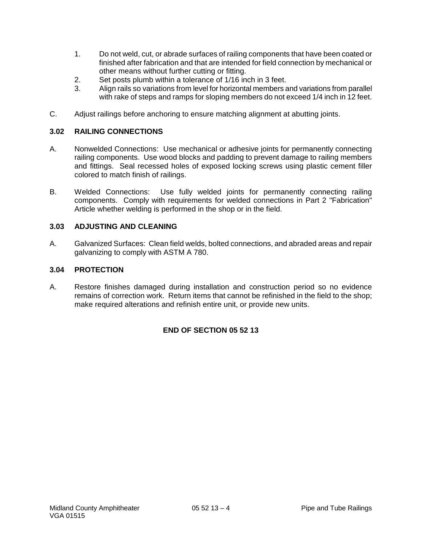- 1. Do not weld, cut, or abrade surfaces of railing components that have been coated or finished after fabrication and that are intended for field connection by mechanical or other means without further cutting or fitting.
- 2. Set posts plumb within a tolerance of 1/16 inch in 3 feet.
- 3. Align rails so variations from level for horizontal members and variations from parallel with rake of steps and ramps for sloping members do not exceed 1/4 inch in 12 feet.
- C. Adjust railings before anchoring to ensure matching alignment at abutting joints.

## **3.02 RAILING CONNECTIONS**

- A. Nonwelded Connections: Use mechanical or adhesive joints for permanently connecting railing components. Use wood blocks and padding to prevent damage to railing members and fittings. Seal recessed holes of exposed locking screws using plastic cement filler colored to match finish of railings.
- B. Welded Connections: Use fully welded joints for permanently connecting railing components. Comply with requirements for welded connections in Part 2 "Fabrication" Article whether welding is performed in the shop or in the field.

#### **3.03 ADJUSTING AND CLEANING**

A. Galvanized Surfaces: Clean field welds, bolted connections, and abraded areas and repair galvanizing to comply with ASTM A 780.

## **3.04 PROTECTION**

A. Restore finishes damaged during installation and construction period so no evidence remains of correction work. Return items that cannot be refinished in the field to the shop; make required alterations and refinish entire unit, or provide new units.

## **END OF SECTION 05 52 13**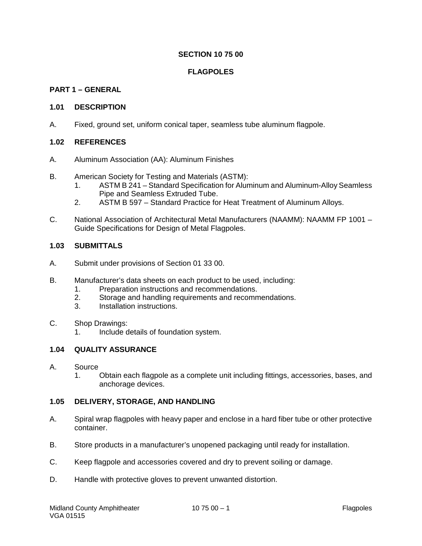## **SECTION 10 75 00**

## **FLAGPOLES**

## **PART 1 – GENERAL**

## **1.01 DESCRIPTION**

A. Fixed, ground set, uniform conical taper, seamless tube aluminum flagpole.

## **1.02 REFERENCES**

- A. Aluminum Association (AA): Aluminum Finishes
- B. American Society for Testing and Materials (ASTM):
	- 1. ASTM B 241 Standard Specification for Aluminum and Aluminum-Alloy Seamless Pipe and Seamless Extruded Tube.
	- 2. ASTM B 597 Standard Practice for Heat Treatment of Aluminum Alloys.
- C. National Association of Architectural Metal Manufacturers (NAAMM): NAAMM FP 1001 Guide Specifications for Design of Metal Flagpoles.

## **1.03 SUBMITTALS**

- A. Submit under provisions of Section 01 33 00.
- B. Manufacturer's data sheets on each product to be used, including:
	- 1. Preparation instructions and recommendations.
	- 2. Storage and handling requirements and recommendations.
	- 3. Installation instructions.
- C. Shop Drawings:
	- 1. Include details of foundation system.

## **1.04 QUALITY ASSURANCE**

#### A. Source

1. Obtain each flagpole as a complete unit including fittings, accessories, bases, and anchorage devices.

#### **1.05 DELIVERY, STORAGE, AND HANDLING**

- A. Spiral wrap flagpoles with heavy paper and enclose in a hard fiber tube or other protective container.
- B. Store products in a manufacturer's unopened packaging until ready for installation.
- C. Keep flagpole and accessories covered and dry to prevent soiling or damage.
- D. Handle with protective gloves to prevent unwanted distortion.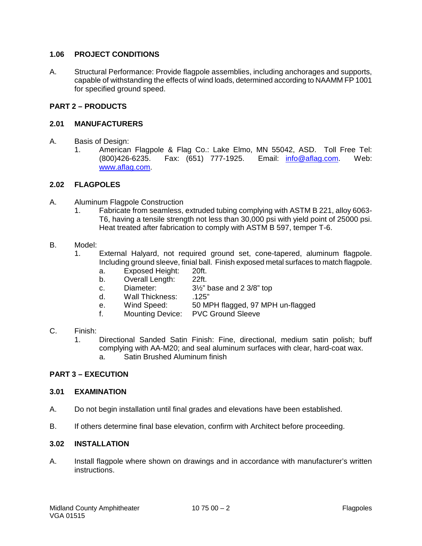## **1.06 PROJECT CONDITIONS**

A. Structural Performance: Provide flagpole assemblies, including anchorages and supports, capable of withstanding the effects of wind loads, determined according to NAAMM FP 1001 for specified ground speed.

## **PART 2 – PRODUCTS**

## **2.01 MANUFACTURERS**

- A. Basis of Design:
	- 1. American Flagpole & Flag Co.: Lake Elmo, MN 55042, ASD. Toll Free Tel: (800)426-6235. Fax: (651) 777-1925. Email: [info@aflag.com.](mailto:info@aflag.com) Web: [www.aflag.com.](http://www.aflag.com/)

## **2.02 FLAGPOLES**

- A. Aluminum Flagpole Construction
	- 1. Fabricate from seamless, extruded tubing complying with ASTM B 221, alloy 6063- T6, having a tensile strength not less than 30,000 psi with yield point of 25000 psi. Heat treated after fabrication to comply with ASTM B 597, temper T-6.
- B. Model:
	- 1. External Halyard, not required ground set, cone-tapered, aluminum flagpole. Including ground sleeve, finial ball. Finish exposed metal surfaces to match flagpole.
		- a. Exposed Height: 20ft.
		- b. Overall Length: 22ft.<br>c. Diameter: 31/<sub>2</sub>" |
		- c. Diameter: 3½" base and 2 3/8" top
		- d. Wall Thickness: .125"<br>e. Wind Speed: 50 Ml
		- e. Wind Speed: 50 MPH flagged, 97 MPH un-flagged
		- f. Mounting Device: PVC Ground Sleeve

## C. Finish:

1. Directional Sanded Satin Finish: Fine, directional, medium satin polish; buff complying with AA-M20; and seal aluminum surfaces with clear, hard-coat wax. a. Satin Brushed Aluminum finish

## **PART 3 – EXECUTION**

#### **3.01 EXAMINATION**

- A. Do not begin installation until final grades and elevations have been established.
- B. If others determine final base elevation, confirm with Architect before proceeding.

#### **3.02 INSTALLATION**

A. Install flagpole where shown on drawings and in accordance with manufacturer's written instructions.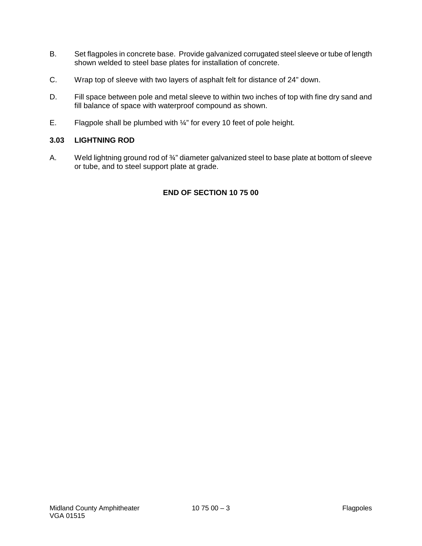- B. Set flagpoles in concrete base. Provide galvanized corrugated steel sleeve or tube of length shown welded to steel base plates for installation of concrete.
- C. Wrap top of sleeve with two layers of asphalt felt for distance of 24" down.
- D. Fill space between pole and metal sleeve to within two inches of top with fine dry sand and fill balance of space with waterproof compound as shown.
- E. Flagpole shall be plumbed with ¼" for every 10 feet of pole height.

## **3.03 LIGHTNING ROD**

A. Weld lightning ground rod of 3/4" diameter galvanized steel to base plate at bottom of sleeve or tube, and to steel support plate at grade.

## **END OF SECTION 10 75 00**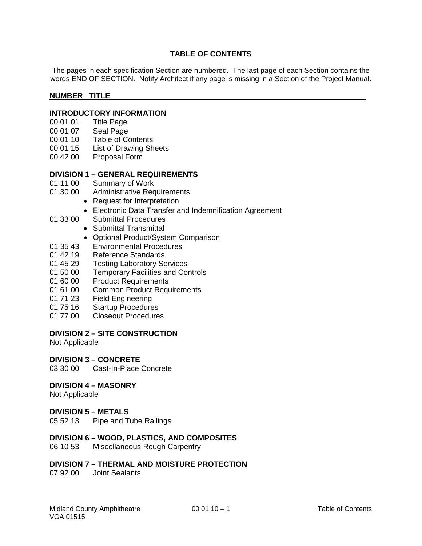## **TABLE OF CONTENTS**

The pages in each specification Section are numbered. The last page of each Section contains the words END OF SECTION. Notify Architect if any page is missing in a Section of the Project Manual.

### **NUMBER TITLE**

# **INTRODUCTORY INFORMATION**<br>00 01 01 Title Page

- 00 01 01 Title Page<br>00 01 07 Seal Page
- Seal Page
- 00 01 10 Table of Contents
- 00 01 15 List of Drawing Sheets
- 00 42 00 Proposal Form

## **DIVISION 1 – GENERAL REQUIREMENTS**

- 01 11 00 Summary of Work<br>01 30 00 Administrative Rec
	- Administrative Requirements
		- Request for Interpretation
			- Electronic Data Transfer and Indemnification Agreement
- 01 33 00 Submittal Procedures
	- Submittal Transmittal
	- Optional Product/System Comparison
- 01 35 43 Environmental Procedures<br>01 42 19 Reference Standards
- Reference Standards
- 01 45 29 Testing Laboratory Services
- 01 50 00 Temporary Facilities and Controls
- 01 60 00 Product Requirements
- 01 61 00 Common Product Requirements
- 01 71 23 Field Engineering<br>01 75 16 Startup Procedure
- 01 75 16 Startup Procedures<br>01 77 00 Closeout Procedure
- Closeout Procedures

#### **DIVISION 2 – SITE CONSTRUCTION**

Not Applicable

#### **DIVISION 3 – CONCRETE**

03 30 00 Cast-In-Place Concrete

#### **DIVISION 4 – MASONRY**

Not Applicable

#### **DIVISION 5 – METALS**

05 52 13 Pipe and Tube Railings

#### **DIVISION 6 – WOOD, PLASTICS, AND COMPOSITES**

06 10 53 Miscellaneous Rough Carpentry

## **DIVISION 7 – THERMAL AND MOISTURE PROTECTION**

07 92 00 Joint Sealants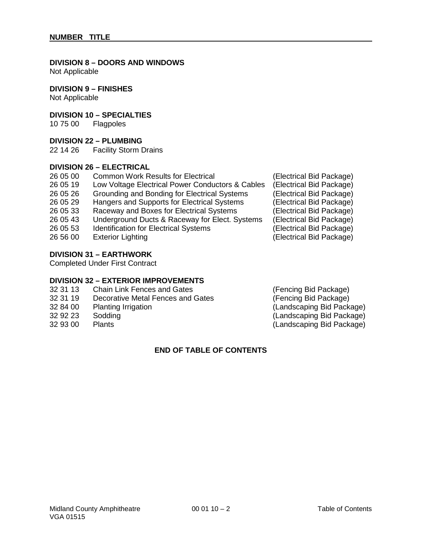## **DIVISION 8 – DOORS AND WINDOWS**

Not Applicable

## **DIVISION 9 – FINISHES**

Not Applicable

## **DIVISION 10 – SPECIALTIES**

10 75 00 Flagpoles

### **DIVISION 22 – PLUMBING**

22 14 26 Facility Storm Drains

## **DIVISION 26 – ELECTRICAL**

| 26 05 00 | <b>Common Work Results for Electrical</b>        |
|----------|--------------------------------------------------|
| 26 05 19 | Low Voltage Electrical Power Conductors & Cables |
| 26 05 26 | Grounding and Bonding for Electrical Systems     |
| 26 05 29 | Hangers and Supports for Electrical Systems      |
| 26 05 33 | Raceway and Boxes for Electrical Systems         |
| 26 05 43 | Underground Ducts & Raceway for Elect. Systems   |
| 26 05 53 | <b>Identification for Electrical Systems</b>     |
| 26 56 00 | <b>Exterior Lighting</b>                         |
|          |                                                  |

## **DIVISION 31 – EARTHWORK**

Completed Under First Contract

## **DIVISION 32 – EXTERIOR IMPROVEMENTS**

- 32 31 13 Chain Link Fences and Gates (Fencing Bid Package)<br>32 31 19 Decorative Metal Fences and Gates (Fencing Bid Package)
- 32 31 19 Decorative Metal Fences and Gates (Fencing Bid Package)<br>32 84 00 Planting Irrigation (Landscaping Bid Packa
- 
- 
- 

## **END OF TABLE OF CONTENTS**

(Electrical Bid Package) (Electrical Bid Package) (Electrical Bid Package) (Electrical Bid Package) (Electrical Bid Package) (Electrical Bid Package) (Electrical Bid Package) (Electrical Bid Package)

32 84 00 Planting Irrigation (Landscaping Bid Package)<br>32 92 23 Sodding (Landscaping Bid Package) 32 92 23 Sodding (Landscaping Bid Package) (Landscaping Bid Package)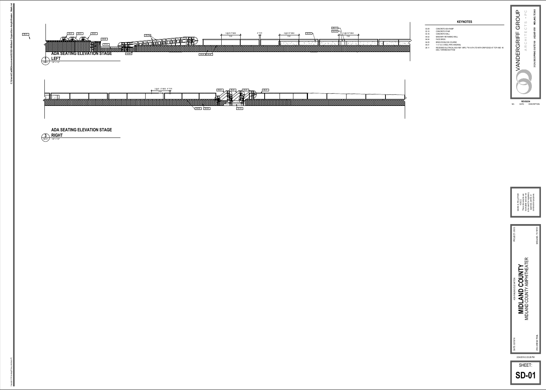



|                      | 3 @ 6'-0" MAX<br>TYP. | 4" TYP.<br>$\overline{f}$ | 3 @ 6'-0" MAX<br>TYP. | 03.16 |
|----------------------|-----------------------|---------------------------|-----------------------|-------|
|                      |                       |                           |                       |       |
|                      |                       |                           |                       |       |
| 04.04<br>04.05<br>и. |                       |                           |                       |       |
|                      |                       |                           |                       |       |





SD-01 1/4" = 1'-0" **3ADA SEATING ELEVATION STAGERIGHT**

# **KEYNOTES**

- 03.09 CONCRETE ADA RAMP
- 03.10 CONCRETE STAIR03.16 CONCRETE WALL
- 04.02 MASONRY RETAINING WALL
- 04.04 FACE BRICK<br>04.05 BRICK ROWLO
- 04.05 BRICK ROWLOCK COURSE05.01 1-½" O.D. STEEL PIPE HANDRAIL
- 

26.11 RECESSED ELCTRICAL BOX REF. MPE; 7"W X 6"H 2"D WITH DRIP EDGE AT TOP AND 45 DEG. TAPERED BOTTOM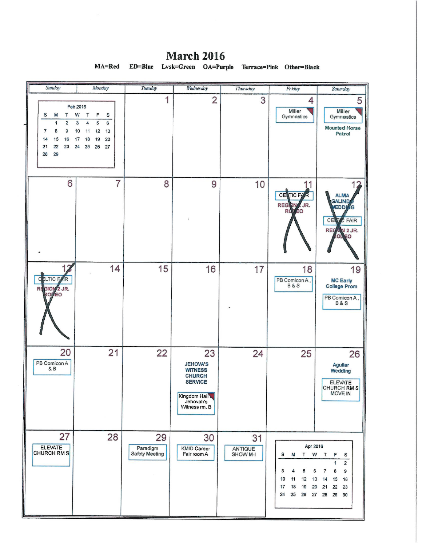Sunday Monday Tuesday Wednesday **Thursday** Friday Saturday 1 3 5  $\overline{2}$  $\overline{\mathcal{A}}$ Feb 2016 Miller Miller S M  $\mathsf T$ W  $\top$  $\mathsf F$ S Gymnastics Gymnastics  $\overline{6}$  $\overline{1}$  $\overline{3}$  $\overline{\mathbf{5}}$  $\overline{2}$  $\overline{a}$ **Mounted Horse**  $\overline{7}$ 8 9  $10$  $11$  $12$  $13$ Patrol  $14$ 15 16  $17$ 18  $19$  $20$  $21$ 22 23 24 25 26 27 28 29  $\overline{7}$ 6 9 10 8 11 12 **CENTIC F ALMA** GALIND **REG** JR. D٨ **EDD** Ġ R<sub>(</sub> ÉΟ CE  $5$  FAIR N 2 JR. **REC** O 1 17 14 15 16 19 18  $\overline{\mathsf{c}}$ **ELTIC F** ÍR PB Comicon A, **MC Early College Prom B&S** RI GIOI  $2$  JR. EO PB Comicon A, **B&S** 20  $21$ 22 23 24 25 26 PB Comicon A **JEHOVA'S** Aguilar  $\& B$ **WITNESS** Wedding **CHURCH SERVICE ELEVATE** CHURCH RM S **MOVE IN** Kingdom Hall Jehovah's<br>Witness rm. B 27 28 29 30 31 Paradigm<br>Safety Meeting Apr 2016 ELEVATE ANTIQUE<br>SHOW M-I **KMID Career** CHURCH RM S Fair room A S M  $\ensuremath{\mathsf{T}}$ W  $\mathsf T$ F S  $\overline{2}$ 1 3 4 5 6  $\overline{\mathbf{7}}$ 8  $\mathbf 9$  $12$  $13$  $15$ 10  $11$  $14$ 16  $17$ 18 19 20 21 22 23 25 26 27 28 29 24 30

**March 2016** MA=Red  $ED = Blue$ Lvsk=Green OA=Purple Terrace=Pink Other=Black